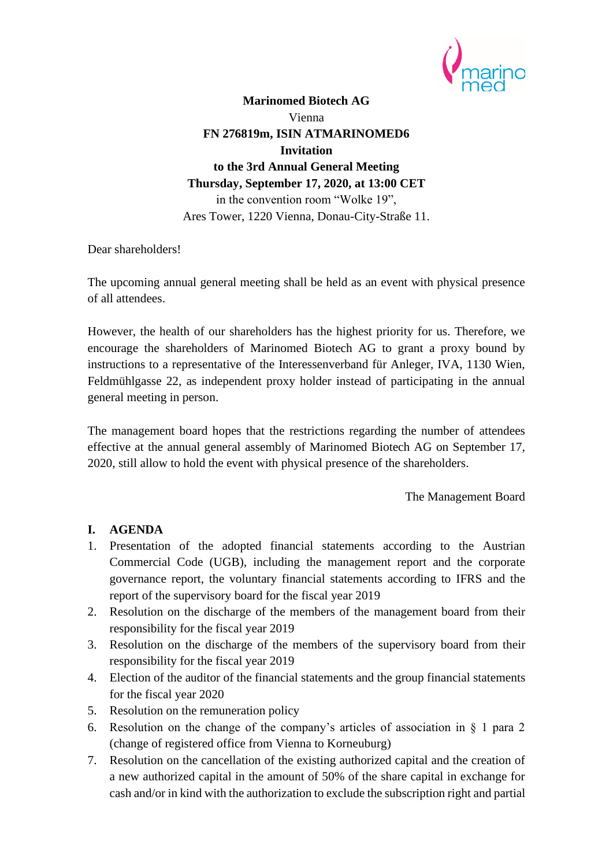

**Marinomed Biotech AG** Vienna **FN 276819m, ISIN ATMARINOMED6 Invitation to the 3rd Annual General Meeting Thursday, September 17, 2020, at 13:00 CET** in the convention room "Wolke 19", Ares Tower, 1220 Vienna, Donau-City-Straße 11.

Dear shareholders!

The upcoming annual general meeting shall be held as an event with physical presence of all attendees.

However, the health of our shareholders has the highest priority for us. Therefore, we encourage the shareholders of Marinomed Biotech AG to grant a proxy bound by instructions to a representative of the Interessenverband für Anleger, IVA, 1130 Wien, Feldmühlgasse 22, as independent proxy holder instead of participating in the annual general meeting in person.

The management board hopes that the restrictions regarding the number of attendees effective at the annual general assembly of Marinomed Biotech AG on September 17, 2020, still allow to hold the event with physical presence of the shareholders.

The Management Board

### **I. AGENDA**

- 1. Presentation of the adopted financial statements according to the Austrian Commercial Code (UGB), including the management report and the corporate governance report, the voluntary financial statements according to IFRS and the report of the supervisory board for the fiscal year 2019
- 2. Resolution on the discharge of the members of the management board from their responsibility for the fiscal year 2019
- 3. Resolution on the discharge of the members of the supervisory board from their responsibility for the fiscal year 2019
- 4. Election of the auditor of the financial statements and the group financial statements for the fiscal year 2020
- 5. Resolution on the remuneration policy
- 6. Resolution on the change of the company's articles of association in § 1 para 2 (change of registered office from Vienna to Korneuburg)
- 7. Resolution on the cancellation of the existing authorized capital and the creation of a new authorized capital in the amount of 50% of the share capital in exchange for cash and/or in kind with the authorization to exclude the subscription right and partial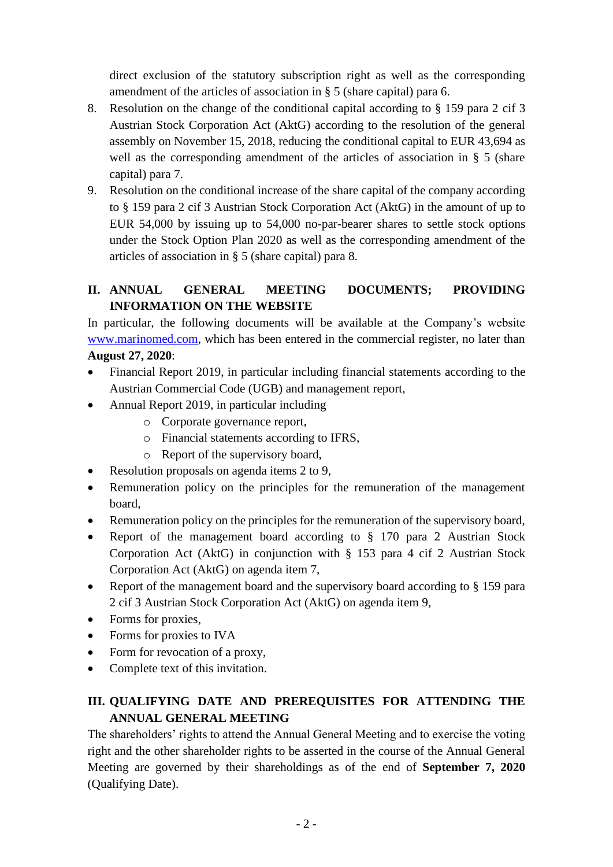direct exclusion of the statutory subscription right as well as the corresponding amendment of the articles of association in § 5 (share capital) para 6.

- 8. Resolution on the change of the conditional capital according to § 159 para 2 cif 3 Austrian Stock Corporation Act (AktG) according to the resolution of the general assembly on November 15, 2018, reducing the conditional capital to EUR 43,694 as well as the corresponding amendment of the articles of association in § 5 (share capital) para 7.
- 9. Resolution on the conditional increase of the share capital of the company according to § 159 para 2 cif 3 Austrian Stock Corporation Act (AktG) in the amount of up to EUR 54,000 by issuing up to 54,000 no-par-bearer shares to settle stock options under the Stock Option Plan 2020 as well as the corresponding amendment of the articles of association in § 5 (share capital) para 8.

# **II. ANNUAL GENERAL MEETING DOCUMENTS; PROVIDING INFORMATION ON THE WEBSITE**

In particular, the following documents will be available at the Company's website [www.marinomed.com,](http://www.marinomed.com/) which has been entered in the commercial register, no later than **August 27, 2020**:

- Financial Report 2019, in particular including financial statements according to the Austrian Commercial Code (UGB) and management report,
- Annual Report 2019, in particular including
	- o Corporate governance report,
	- o Financial statements according to IFRS,
	- o Report of the supervisory board,
- Resolution proposals on agenda items 2 to 9,
- Remuneration policy on the principles for the remuneration of the management board,
- Remuneration policy on the principles for the remuneration of the supervisory board,
- Report of the management board according to § 170 para 2 Austrian Stock Corporation Act (AktG) in conjunction with § 153 para 4 cif 2 Austrian Stock Corporation Act (AktG) on agenda item 7,
- Report of the management board and the supervisory board according to § 159 para 2 cif 3 Austrian Stock Corporation Act (AktG) on agenda item 9,
- Forms for proxies,
- Forms for proxies to IVA
- Form for revocation of a proxy,
- Complete text of this invitation.

# **III. QUALIFYING DATE AND PREREQUISITES FOR ATTENDING THE ANNUAL GENERAL MEETING**

The shareholders' rights to attend the Annual General Meeting and to exercise the voting right and the other shareholder rights to be asserted in the course of the Annual General Meeting are governed by their shareholdings as of the end of **September 7, 2020** (Qualifying Date).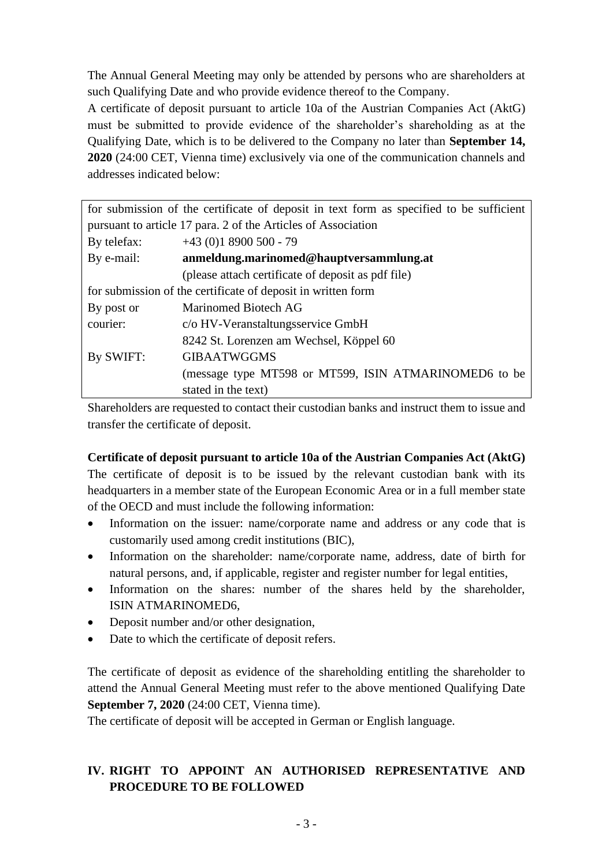The Annual General Meeting may only be attended by persons who are shareholders at such Qualifying Date and who provide evidence thereof to the Company.

A certificate of deposit pursuant to article 10a of the Austrian Companies Act (AktG) must be submitted to provide evidence of the shareholder's shareholding as at the Qualifying Date, which is to be delivered to the Company no later than **September 14, 2020** (24:00 CET, Vienna time) exclusively via one of the communication channels and addresses indicated below:

| for submission of the certificate of deposit in text form as specified to be sufficient |                                                       |  |
|-----------------------------------------------------------------------------------------|-------------------------------------------------------|--|
| pursuant to article 17 para. 2 of the Articles of Association                           |                                                       |  |
| By telefax:                                                                             | $+43$ (0)1 8900 500 - 79                              |  |
| By e-mail:                                                                              | anmeldung.marinomed@hauptversammlung.at               |  |
|                                                                                         | (please attach certificate of deposit as pdf file)    |  |
| for submission of the certificate of deposit in written form                            |                                                       |  |
| By post or                                                                              | Marinomed Biotech AG                                  |  |
| courier:                                                                                | c/o HV-Veranstaltungsservice GmbH                     |  |
|                                                                                         | 8242 St. Lorenzen am Wechsel, Köppel 60               |  |
| By SWIFT:                                                                               | <b>GIBAATWGGMS</b>                                    |  |
|                                                                                         | (message type MT598 or MT599, ISIN ATMARINOMED6 to be |  |
|                                                                                         | stated in the text)                                   |  |

Shareholders are requested to contact their custodian banks and instruct them to issue and transfer the certificate of deposit.

### **Certificate of deposit pursuant to article 10a of the Austrian Companies Act (AktG)**

The certificate of deposit is to be issued by the relevant custodian bank with its headquarters in a member state of the European Economic Area or in a full member state of the OECD and must include the following information:

- Information on the issuer: name/corporate name and address or any code that is customarily used among credit institutions (BIC),
- Information on the shareholder: name/corporate name, address, date of birth for natural persons, and, if applicable, register and register number for legal entities,
- Information on the shares: number of the shares held by the shareholder, ISIN ATMARINOMED6,
- Deposit number and/or other designation,
- Date to which the certificate of deposit refers.

The certificate of deposit as evidence of the shareholding entitling the shareholder to attend the Annual General Meeting must refer to the above mentioned Qualifying Date **September 7, 2020** (24:00 CET, Vienna time).

The certificate of deposit will be accepted in German or English language.

# **IV. RIGHT TO APPOINT AN AUTHORISED REPRESENTATIVE AND PROCEDURE TO BE FOLLOWED**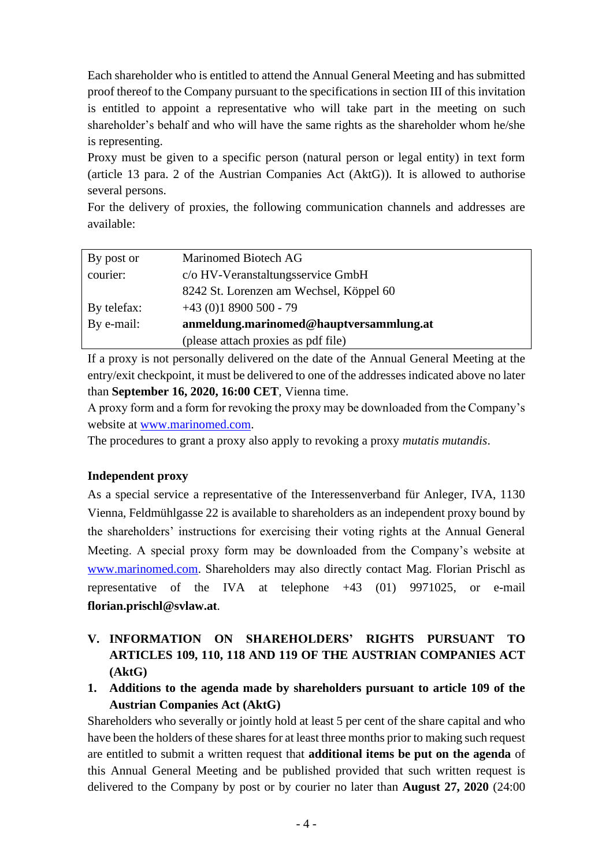Each shareholder who is entitled to attend the Annual General Meeting and has submitted proof thereof to the Company pursuant to the specifications in section III of this invitation is entitled to appoint a representative who will take part in the meeting on such shareholder's behalf and who will have the same rights as the shareholder whom he/she is representing.

Proxy must be given to a specific person (natural person or legal entity) in text form (article 13 para. 2 of the Austrian Companies Act (AktG)). It is allowed to authorise several persons.

For the delivery of proxies, the following communication channels and addresses are available:

| By post or  | Marinomed Biotech AG                    |
|-------------|-----------------------------------------|
| courier:    | c/o HV-Veranstaltungsservice GmbH       |
|             | 8242 St. Lorenzen am Wechsel, Köppel 60 |
| By telefax: | $+43$ (0)1 8900 500 - 79                |
| By e-mail:  | anmeldung.marinomed@hauptversammlung.at |
|             | (please attach proxies as pdf file)     |

If a proxy is not personally delivered on the date of the Annual General Meeting at the entry/exit checkpoint, it must be delivered to one of the addresses indicated above no later than **September 16, 2020, 16:00 CET**, Vienna time.

A proxy form and a form for revoking the proxy may be downloaded from the Company's website at [www.marinomed.com.](http://www.marinomed.com/)

The procedures to grant a proxy also apply to revoking a proxy *mutatis mutandis*.

### **Independent proxy**

As a special service a representative of the Interessenverband für Anleger, IVA, 1130 Vienna, Feldmühlgasse 22 is available to shareholders as an independent proxy bound by the shareholders' instructions for exercising their voting rights at the Annual General Meeting. A special proxy form may be downloaded from the Company's website at [www.marinomed.com.](http://www.marinomed.com/) Shareholders may also directly contact Mag. Florian Prischl as representative of the IVA at telephone +43 (01) 9971025, or e-mail **florian.prischl@svlaw.at**.

- **V. INFORMATION ON SHAREHOLDERS' RIGHTS PURSUANT TO ARTICLES 109, 110, 118 AND 119 OF THE AUSTRIAN COMPANIES ACT (AktG)**
- **1. Additions to the agenda made by shareholders pursuant to article 109 of the Austrian Companies Act (AktG)**

Shareholders who severally or jointly hold at least 5 per cent of the share capital and who have been the holders of these shares for at least three months prior to making such request are entitled to submit a written request that **additional items be put on the agenda** of this Annual General Meeting and be published provided that such written request is delivered to the Company by post or by courier no later than **August 27, 2020** (24:00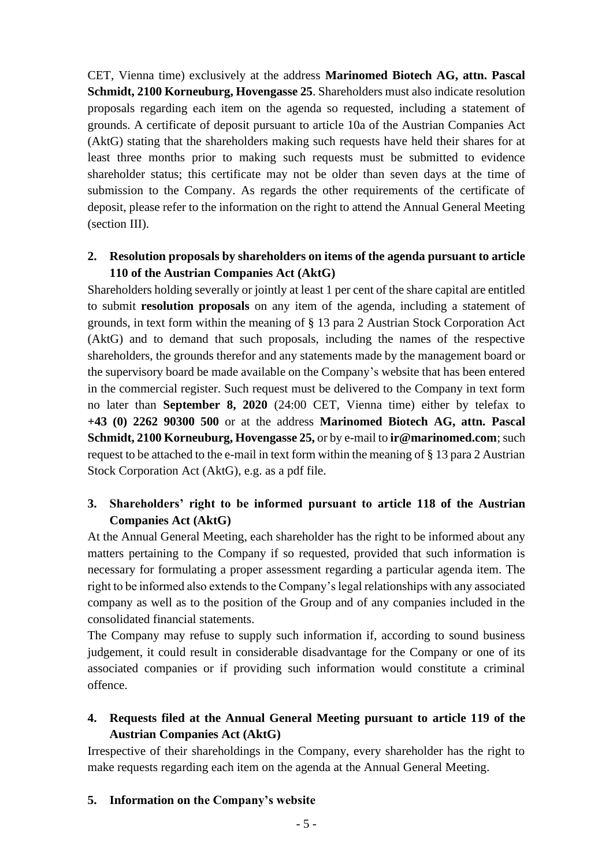CET, Vienna time) exclusively at the address **Marinomed Biotech AG, attn. Pascal Schmidt, 2100 Korneuburg, Hovengasse 25**. Shareholders must also indicate resolution proposals regarding each item on the agenda so requested, including a statement of grounds. A certificate of deposit pursuant to article 10a of the Austrian Companies Act (AktG) stating that the shareholders making such requests have held their shares for at least three months prior to making such requests must be submitted to evidence shareholder status; this certificate may not be older than seven days at the time of submission to the Company. As regards the other requirements of the certificate of deposit, please refer to the information on the right to attend the Annual General Meeting (section III).

#### **2. Resolution proposals by shareholders on items of the agenda pursuant to article 110 of the Austrian Companies Act (AktG)**

Shareholders holding severally or jointly at least 1 per cent of the share capital are entitled to submit **resolution proposals** on any item of the agenda, including a statement of grounds, in text form within the meaning of § 13 para 2 Austrian Stock Corporation Act (AktG) and to demand that such proposals, including the names of the respective shareholders, the grounds therefor and any statements made by the management board or the supervisory board be made available on the Company's website that has been entered in the commercial register. Such request must be delivered to the Company in text form no later than **September 8, 2020** (24:00 CET, Vienna time) either by telefax to **+43 (0) 2262 90300 500** or at the address **Marinomed Biotech AG, attn. Pascal Schmidt, 2100 Korneuburg, Hovengasse 25,** or by e-mail to **ir@marinomed.com**; such request to be attached to the e-mail in text form within the meaning of § 13 para 2 Austrian Stock Corporation Act (AktG), e.g. as a pdf file.

#### **3. Shareholders' right to be informed pursuant to article 118 of the Austrian Companies Act (AktG)**

At the Annual General Meeting, each shareholder has the right to be informed about any matters pertaining to the Company if so requested, provided that such information is necessary for formulating a proper assessment regarding a particular agenda item. The right to be informed also extends to the Company's legal relationships with any associated company as well as to the position of the Group and of any companies included in the consolidated financial statements.

The Company may refuse to supply such information if, according to sound business judgement, it could result in considerable disadvantage for the Company or one of its associated companies or if providing such information would constitute a criminal offence.

# **4. Requests filed at the Annual General Meeting pursuant to article 119 of the Austrian Companies Act (AktG)**

Irrespective of their shareholdings in the Company, every shareholder has the right to make requests regarding each item on the agenda at the Annual General Meeting.

#### **5. Information on the Company's website**